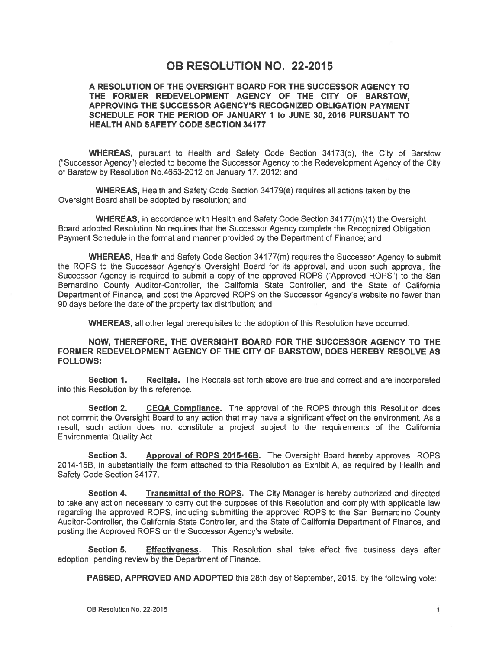## **OB RESOLUTION NO. 22-2015**

#### A RESOLUTION OF THE OVERSIGHT BOARD FOR THE SUCCESSOR AGENCY TO THE FORMER REDEVELOPMENT AGENCY OF THE CITY OF BARSTOW. APPROVING THE SUCCESSOR AGENCY'S RECOGNIZED OBLIGATION PAYMENT SCHEDULE FOR THE PERIOD OF JANUARY 1 to JUNE 30, 2016 PURSUANT TO **HEALTH AND SAFETY CODE SECTION 34177**

WHEREAS, pursuant to Health and Safety Code Section 34173(d), the City of Barstow ("Successor Agency") elected to become the Successor Agency to the Redevelopment Agency of the City of Barstow by Resolution No.4653-2012 on January 17, 2012; and

WHEREAS, Health and Safety Code Section 34179(e) requires all actions taken by the Oversight Board shall be adopted by resolution; and

WHEREAS. in accordance with Health and Safety Code Section 34177(m)(1) the Oversight Board adopted Resolution No. requires that the Successor Agency complete the Recognized Obligation Payment Schedule in the format and manner provided by the Department of Finance; and

WHEREAS, Health and Safety Code Section 34177(m) requires the Successor Agency to submit the ROPS to the Successor Agency's Oversight Board for its approval, and upon such approval, the Successor Agency is required to submit a copy of the approved ROPS ("Approved ROPS") to the San Bernardino County Auditor-Controller, the California State Controller, and the State of California Department of Finance, and post the Approved ROPS on the Successor Agency's website no fewer than 90 days before the date of the property tax distribution; and

**WHEREAS, all other legal prerequisites to the adoption of this Resolution have occurred.** 

#### NOW, THEREFORE, THE OVERSIGHT BOARD FOR THE SUCCESSOR AGENCY TO THE FORMER REDEVELOPMENT AGENCY OF THE CITY OF BARSTOW, DOES HEREBY RESOLVE AS **FOLLOWS:**

Recitals. The Recitals set forth above are true and correct and are incorporated Section 1. into this Resolution by this reference.

CEQA Compliance. The approval of the ROPS through this Resolution does Section 2. not commit the Oversight Board to any action that may have a significant effect on the environment. As a result, such action does not constitute a project subject to the requirements of the California **Environmental Quality Act.** 

Section 3. Approval of ROPS 2015-16B. The Oversight Board hereby approves ROPS 2014-15B, in substantially the form attached to this Resolution as Exhibit A, as required by Health and Safety Code Section 34177.

Transmittal of the ROPS. The City Manager is hereby authorized and directed Section 4. to take anv action necessary to carry out the purposes of this Resolution and comply with applicable law regarding the approved ROPS, including submitting the approved ROPS to the San Bernardino County Auditor-Controller, the California State Controller, and the State of California Department of Finance, and posting the Approved ROPS on the Successor Agency's website.

Section 5. This Resolution shall take effect five business days after **Effectiveness.** adoption, pending review by the Department of Finance.

PASSED. APPROVED AND ADOPTED this 28th day of September, 2015, by the following vote: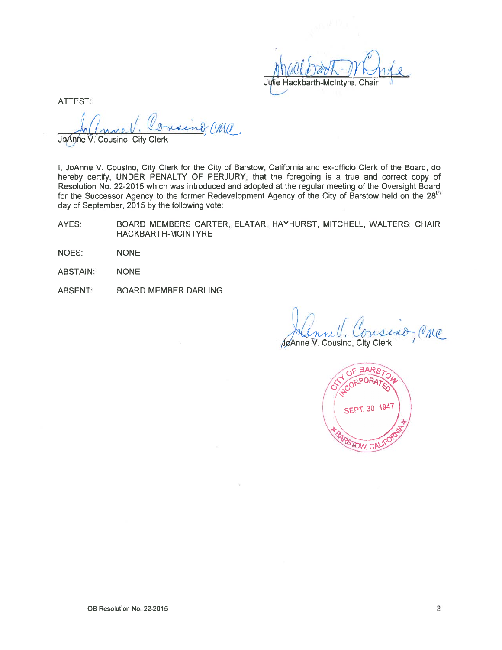Julie Hackbarth-McIntyre, Chair

**ATTEST:** 

Chia JoAnne V. Cousino, City Clerk

I, JoAnne V. Cousino, City Clerk for the City of Barstow, California and ex-officio Clerk of the Board, do hereby certify. UNDER PENALTY OF PERJURY, that the foregoing is a true and correct copy of Resolution No. 22-2015 which was introduced and adopted at the regular meeting of the Oversight Board for the Successor Agency to the former Redevelopment Agency of the City of Barstow held on the 28<sup>th</sup> day of September, 2015 by the following vote:

- BOARD MEMBERS CARTER, ELATAR, HAYHURST, MITCHELL, WALTERS; CHAIR AYES: HACKBARTH-MCINTYRE
- NOES: **NONE**
- **ABSTAIN: NONE**
- **ABSENT: BOARD MEMBER DARLING**

JøAnne V. Cousino, City Clerk

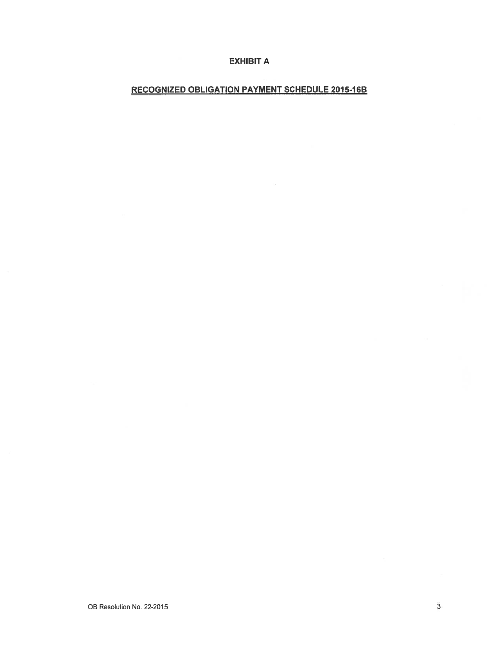#### **EXHIBIT A**

## **RECOGNIZED OBLIGATION PAYMENT SCHEDULE 2015-16B**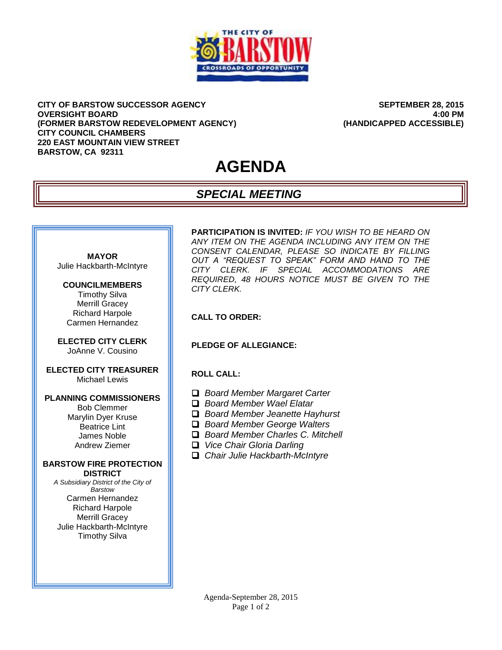

**CITY OF BARSTOW SUCCESSOR AGENCY OVERSIGHT BOARD (FORMER BARSTOW REDEVELOPMENT AGENCY) CITY COUNCIL CHAMBERS 220 EAST MOUNTAIN VIEW STREET BARSTOW, CA 92311**

**SEPTEMBER 28, 2015 4:00 PM (HANDICAPPED ACCESSIBLE)**

# **AGENDA**

## *SPECIAL MEETING*



## **COUNCILMEMBERS**

Timothy Silva Merrill Gracey Richard Harpole Carmen Hernandez

**ELECTED CITY CLERK** JoAnne V. Cousino

#### **ELECTED CITY TREASURER** Michael Lewis

#### **PLANNING COMMISSIONERS**

Bob Clemmer Marylin Dyer Kruse Beatrice Lint James Noble Andrew Ziemer

#### **BARSTOW FIRE PROTECTION DISTRICT**

*A Subsidiary District of the City of Barstow* Carmen Hernandez Richard Harpole Merrill Gracey Julie Hackbarth-McIntyre Timothy Silva

**PARTICIPATION IS INVITED:** *IF YOU WISH TO BE HEARD ON ANY ITEM ON THE AGENDA INCLUDING ANY ITEM ON THE CONSENT CALENDAR, PLEASE SO INDICATE BY FILLING OUT A "REQUEST TO SPEAK" FORM AND HAND TO THE CITY CLERK. IF SPECIAL ACCOMMODATIONS ARE REQUIRED, 48 HOURS NOTICE MUST BE GIVEN TO THE CITY CLERK.*

#### **CALL TO ORDER:**

#### **PLEDGE OF ALLEGIANCE:**

#### **ROLL CALL:**

- *Board Member Margaret Carter*
- *Board Member Wael Elatar*
- *Board Member Jeanette Hayhurst*
- *Board Member George Walters*
- *Board Member Charles C. Mitchell*
- *Vice Chair Gloria Darling*
- *Chair Julie Hackbarth-McIntyre*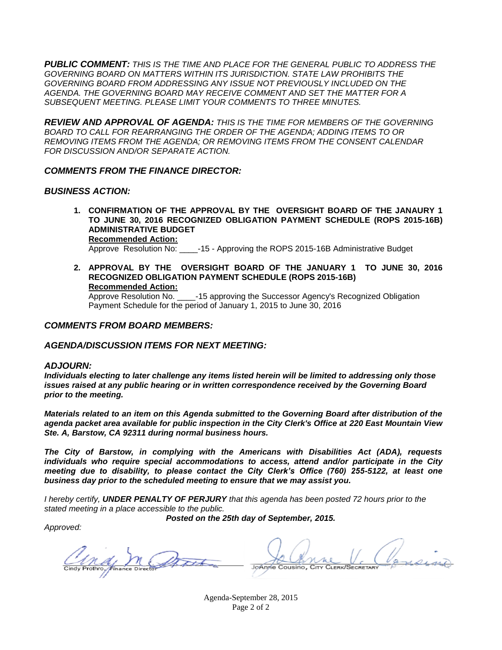*PUBLIC COMMENT: THIS IS THE TIME AND PLACE FOR THE GENERAL PUBLIC TO ADDRESS THE GOVERNING BOARD ON MATTERS WITHIN ITS JURISDICTION. STATE LAW PROHIBITS THE GOVERNING BOARD FROM ADDRESSING ANY ISSUE NOT PREVIOUSLY INCLUDED ON THE AGENDA. THE GOVERNING BOARD MAY RECEIVE COMMENT AND SET THE MATTER FOR A SUBSEQUENT MEETING. PLEASE LIMIT YOUR COMMENTS TO THREE MINUTES.*

*REVIEW AND APPROVAL OF AGENDA: THIS IS THE TIME FOR MEMBERS OF THE GOVERNING BOARD TO CALL FOR REARRANGING THE ORDER OF THE AGENDA; ADDING ITEMS TO OR REMOVING ITEMS FROM THE AGENDA; OR REMOVING ITEMS FROM THE CONSENT CALENDAR FOR DISCUSSION AND/OR SEPARATE ACTION.*

#### *COMMENTS FROM THE FINANCE DIRECTOR:*

#### *BUSINESS ACTION:*

- **1. CONFIRMATION OF THE APPROVAL BY THE OVERSIGHT BOARD OF THE JANAURY 1 TO JUNE 30, 2016 RECOGNIZED OBLIGATION PAYMENT SCHEDULE (ROPS 2015-16B) ADMINISTRATIVE BUDGET Recommended Action:** Approve Resolution No: \_\_\_\_-15 - Approving the ROPS 2015-16B Administrative Budget
- **2. APPROVAL BY THE OVERSIGHT BOARD OF THE JANUARY 1 TO JUNE 30, 2016 RECOGNIZED OBLIGATION PAYMENT SCHEDULE (ROPS 2015-16B) Recommended Action:**

Approve Resolution No. \_\_\_\_-15 approving the Successor Agency's Recognized Obligation Payment Schedule for the period of January 1, 2015 to June 30, 2016

#### *COMMENTS FROM BOARD MEMBERS:*

#### *AGENDA/DISCUSSION ITEMS FOR NEXT MEETING:*

#### *ADJOURN:*

*Individuals electing to later challenge any items listed herein will be limited to addressing only those issues raised at any public hearing or in written correspondence received by the Governing Board prior to the meeting.*

*Materials related to an item on this Agenda submitted to the Governing Board after distribution of the agenda packet area available for public inspection in the City Clerk's Office at 220 East Mountain View Ste. A, Barstow, CA 92311 during normal business hours.*

*The City of Barstow, in complying with the Americans with Disabilities Act (ADA), requests individuals who require special accommodations to access, attend and/or participate in the City meeting due to disability, to please contact the City Clerk's Office (760) 255-5122, at least one business day prior to the scheduled meeting to ensure that we may assist you.*

*I hereby certify, UNDER PENALTY OF PERJURY that this agenda has been posted 72 hours prior to the stated meeting in a place accessible to the public.*

*Posted on the 25th day of September, 2015.*

*Approved:*

JoAnne Cousino, CITY CLERK/SECRETARY

Agenda-September 28, 2015 Page 2 of 2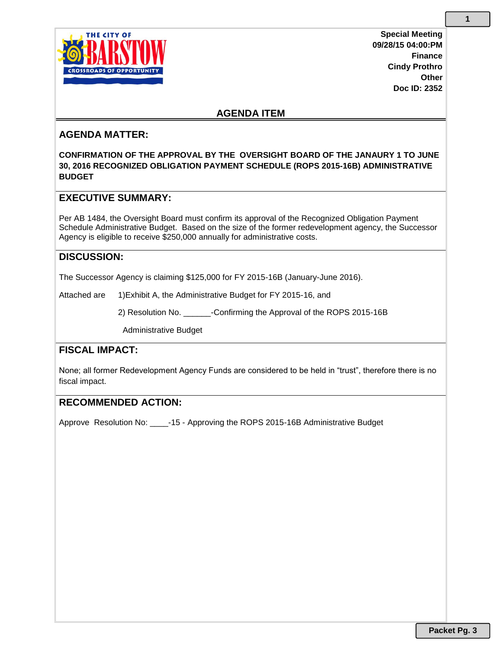

**Special Meeting 09/28/15 04:00:PM Finance Cindy Prothro Other Doc ID: 2352**

## **AGENDA ITEM**

## **AGENDA MATTER:**

**CONFIRMATION OF THE APPROVAL BY THE OVERSIGHT BOARD OF THE JANAURY 1 TO JUNE 30, 2016 RECOGNIZED OBLIGATION PAYMENT SCHEDULE (ROPS 2015-16B) ADMINISTRATIVE BUDGET**

## **EXECUTIVE SUMMARY:**

Per AB 1484, the Oversight Board must confirm its approval of the Recognized Obligation Payment Schedule Administrative Budget. Based on the size of the former redevelopment agency, the Successor Agency is eligible to receive \$250,000 annually for administrative costs.

## **DISCUSSION:**

The Successor Agency is claiming \$125,000 for FY 2015-16B (January-June 2016).

Attached are 1)Exhibit A, the Administrative Budget for FY 2015-16, and

2) Resolution No. \_\_\_\_\_\_-Confirming the Approval of the ROPS 2015-16B

Administrative Budget

## **FISCAL IMPACT:**

None; all former Redevelopment Agency Funds are considered to be held in "trust", therefore there is no fiscal impact.

#### **RECOMMENDED ACTION:**

Approve Resolution No: \_\_\_\_-15 - Approving the ROPS 2015-16B Administrative Budget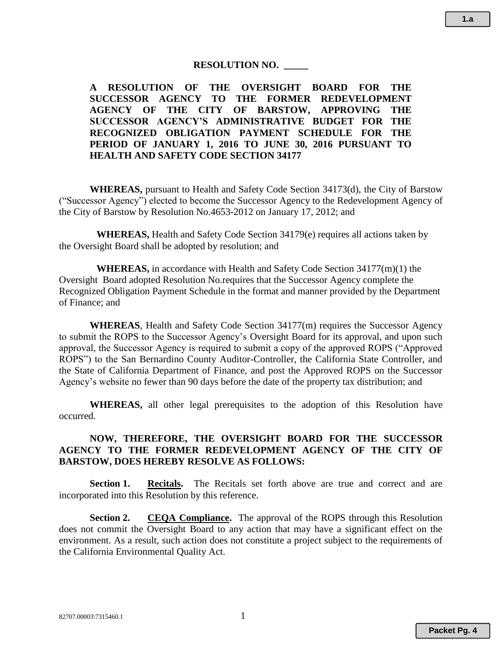#### **RESOLUTION NO. \_\_\_\_\_**

**A RESOLUTION OF THE OVERSIGHT BOARD FOR THE SUCCESSOR AGENCY TO THE FORMER REDEVELOPMENT AGENCY OF THE CITY OF BARSTOW, APPROVING THE SUCCESSOR AGENCY'S ADMINISTRATIVE BUDGET FOR THE RECOGNIZED OBLIGATION PAYMENT SCHEDULE FOR THE PERIOD OF JANUARY 1, 2016 TO JUNE 30, 2016 PURSUANT TO HEALTH AND SAFETY CODE SECTION 34177**

**WHEREAS,** pursuant to Health and Safety Code Section 34173(d), the City of Barstow ("Successor Agency") elected to become the Successor Agency to the Redevelopment Agency of the City of Barstow by Resolution No.4653-2012 on January 17, 2012; and

**WHEREAS,** Health and Safety Code Section 34179(e) requires all actions taken by the Oversight Board shall be adopted by resolution; and

**WHEREAS,** in accordance with Health and Safety Code Section 34177(m)(1) the Oversight Board adopted Resolution No.requires that the Successor Agency complete the Recognized Obligation Payment Schedule in the format and manner provided by the Department of Finance; and

**WHEREAS**, Health and Safety Code Section 34177(m) requires the Successor Agency to submit the ROPS to the Successor Agency's Oversight Board for its approval, and upon such approval, the Successor Agency is required to submit a copy of the approved ROPS ("Approved ROPS") to the San Bernardino County Auditor-Controller, the California State Controller, and the State of California Department of Finance, and post the Approved ROPS on the Successor Agency's website no fewer than 90 days before the date of the property tax distribution; and

**WHEREAS,** all other legal prerequisites to the adoption of this Resolution have occurred.

## **NOW, THEREFORE, THE OVERSIGHT BOARD FOR THE SUCCESSOR AGENCY TO THE FORMER REDEVELOPMENT AGENCY OF THE CITY OF BARSTOW, DOES HEREBY RESOLVE AS FOLLOWS:**

**Section 1. Recitals.** The Recitals set forth above are true and correct and are incorporated into this Resolution by this reference.

**Section 2. CEQA Compliance.** The approval of the ROPS through this Resolution does not commit the Oversight Board to any action that may have a significant effect on the environment. As a result, such action does not constitute a project subject to the requirements of the California Environmental Quality Act.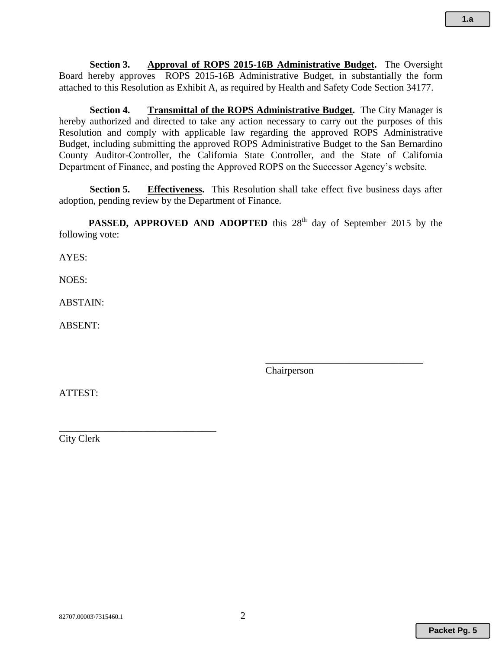**Section 3. Approval of ROPS 2015-16B Administrative Budget.** The Oversight Board hereby approves ROPS 2015-16B Administrative Budget, in substantially the form attached to this Resolution as Exhibit A, as required by Health and Safety Code Section 34177.

**Section 4. Transmittal of the ROPS Administrative Budget.** The City Manager is hereby authorized and directed to take any action necessary to carry out the purposes of this Resolution and comply with applicable law regarding the approved ROPS Administrative Budget, including submitting the approved ROPS Administrative Budget to the San Bernardino County Auditor-Controller, the California State Controller, and the State of California Department of Finance, and posting the Approved ROPS on the Successor Agency's website.

**Section 5. Effectiveness.** This Resolution shall take effect five business days after adoption, pending review by the Department of Finance.

**PASSED, APPROVED AND ADOPTED** this 28<sup>th</sup> day of September 2015 by the following vote:

AYES:

NOES:

ABSTAIN:

ABSENT:

Chairperson

\_\_\_\_\_\_\_\_\_\_\_\_\_\_\_\_\_\_\_\_\_\_\_\_\_\_\_\_\_\_\_\_

ATTEST:

City Clerk

\_\_\_\_\_\_\_\_\_\_\_\_\_\_\_\_\_\_\_\_\_\_\_\_\_\_\_\_\_\_\_\_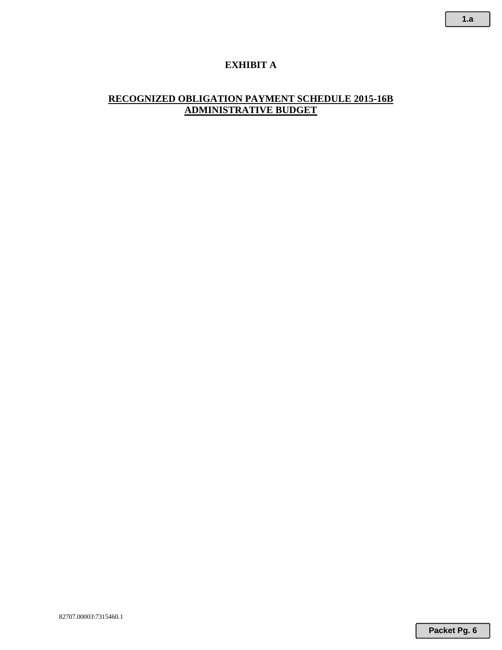## **EXHIBIT A**

## **RECOGNIZED OBLIGATION PAYMENT SCHEDULE 2015-16B ADMINISTRATIVE BUDGET**

**1.a**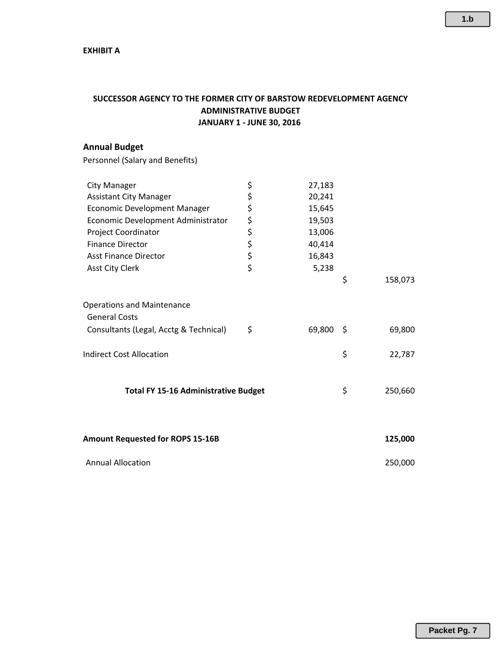## **SUCCESSOR AGENCY TO THE FORMER CITY OF BARSTOW REDEVELOPMENT AGENCY ADMINISTRATIVE BUDGET JANUARY 1 ‐ JUNE 30, 2016**

## **Annual Budget**

Personnel (Salary and Benefits)

| <b>City Manager</b>                         | \$<br>27,183 |      |         |
|---------------------------------------------|--------------|------|---------|
| <b>Assistant City Manager</b>               | \$<br>20,241 |      |         |
| Economic Development Manager                | \$<br>15,645 |      |         |
| Economic Development Administrator          | \$<br>19,503 |      |         |
| Project Coordinator                         | \$<br>13,006 |      |         |
| <b>Finance Director</b>                     | \$<br>40,414 |      |         |
| <b>Asst Finance Director</b>                | \$<br>16,843 |      |         |
| <b>Asst City Clerk</b>                      | \$<br>5,238  |      |         |
|                                             |              | \$   | 158,073 |
| <b>Operations and Maintenance</b>           |              |      |         |
| <b>General Costs</b>                        |              |      |         |
| Consultants (Legal, Acctg & Technical)      | \$<br>69,800 | - \$ | 69,800  |
| <b>Indirect Cost Allocation</b>             |              | \$   | 22,787  |
|                                             |              |      |         |
| <b>Total FY 15-16 Administrative Budget</b> |              | \$   | 250,660 |
|                                             |              |      |         |
| <b>Amount Requested for ROPS 15-16B</b>     |              |      | 125,000 |
|                                             |              |      |         |
| <b>Annual Allocation</b>                    |              |      | 250,000 |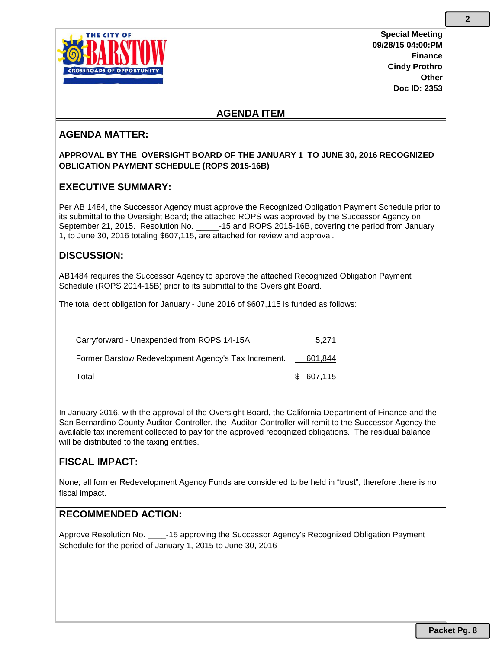

**Special Meeting 09/28/15 04:00:PM Finance Cindy Prothro Other Doc ID: 2353**

## **AGENDA ITEM**

## **AGENDA MATTER:**

### **APPROVAL BY THE OVERSIGHT BOARD OF THE JANUARY 1 TO JUNE 30, 2016 RECOGNIZED OBLIGATION PAYMENT SCHEDULE (ROPS 2015-16B)**

## **EXECUTIVE SUMMARY:**

Per AB 1484, the Successor Agency must approve the Recognized Obligation Payment Schedule prior to its submittal to the Oversight Board; the attached ROPS was approved by the Successor Agency on September 21, 2015. Resolution No. \_\_\_\_\_-15 and ROPS 2015-16B, covering the period from January 1, to June 30, 2016 totaling \$607,115, are attached for review and approval.

## **DISCUSSION:**

AB1484 requires the Successor Agency to approve the attached Recognized Obligation Payment Schedule (ROPS 2014-15B) prior to its submittal to the Oversight Board.

The total debt obligation for January - June 2016 of \$607,115 is funded as follows:

| Carryforward - Unexpended from ROPS 14-15A           | 5.271      |
|------------------------------------------------------|------------|
| Former Barstow Redevelopment Agency's Tax Increment. | 601,844    |
| Total                                                | \$ 607,115 |

In January 2016, with the approval of the Oversight Board, the California Department of Finance and the San Bernardino County Auditor-Controller, the Auditor-Controller will remit to the Successor Agency the available tax increment collected to pay for the approved recognized obligations. The residual balance will be distributed to the taxing entities.

## **FISCAL IMPACT:**

None; all former Redevelopment Agency Funds are considered to be held in "trust", therefore there is no fiscal impact.

## **RECOMMENDED ACTION:**

Approve Resolution No.  $\qquad -15$  approving the Successor Agency's Recognized Obligation Payment Schedule for the period of January 1, 2015 to June 30, 2016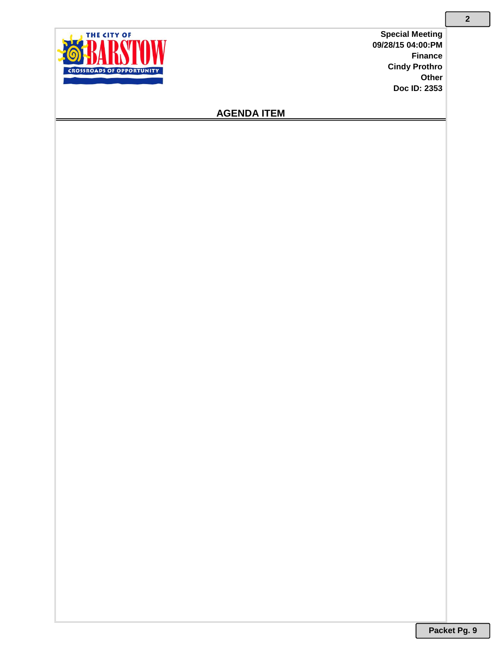**Special Meeting 09/28/15 04:00:PM Finance Cindy Prothro Other Doc ID: 2353**



## **AGENDA ITEM**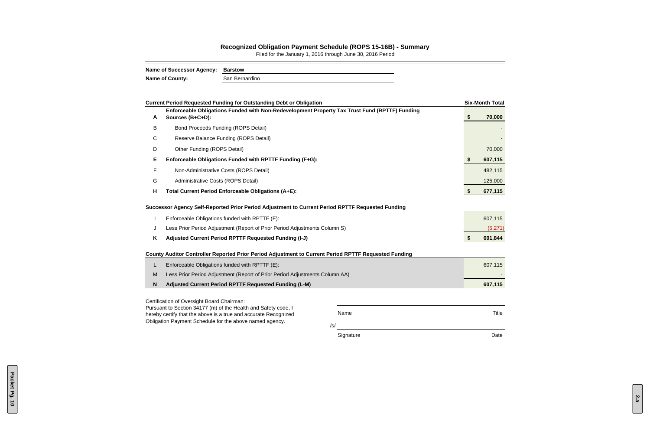|                                                                 | <b>Current Period Requested Funding for Outstanding Debt or Obligation</b>                                   |              |                   | <b>Six-Month Total</b> |  |  |  |  |
|-----------------------------------------------------------------|--------------------------------------------------------------------------------------------------------------|--------------|-------------------|------------------------|--|--|--|--|
|                                                                 | Enforceable Obligations Funded with Non-Redevelopment Property Tax Trust Fund (RPTTF) Funding                |              |                   |                        |  |  |  |  |
| A                                                               | Sources (B+C+D):                                                                                             |              | \$                | 70,000                 |  |  |  |  |
| B                                                               | <b>Bond Proceeds Funding (ROPS Detail)</b>                                                                   |              |                   |                        |  |  |  |  |
| C                                                               | Reserve Balance Funding (ROPS Detail)                                                                        |              |                   |                        |  |  |  |  |
| D                                                               | Other Funding (ROPS Detail)                                                                                  |              |                   | 70,000                 |  |  |  |  |
| Е                                                               | Enforceable Obligations Funded with RPTTF Funding (F+G):                                                     |              | \$                | 607,115                |  |  |  |  |
| F                                                               | Non-Administrative Costs (ROPS Detail)                                                                       |              |                   | 482,115                |  |  |  |  |
| G                                                               | Administrative Costs (ROPS Detail)                                                                           |              |                   | 125,000                |  |  |  |  |
| H                                                               | Total Current Period Enforceable Obligations (A+E):                                                          |              | \$                | 677,115                |  |  |  |  |
|                                                                 |                                                                                                              |              |                   |                        |  |  |  |  |
|                                                                 | Successor Agency Self-Reported Prior Period Adjustment to Current Period RPTTF Requested Funding             |              |                   |                        |  |  |  |  |
|                                                                 | Enforceable Obligations funded with RPTTF (E):                                                               |              | 607,115           |                        |  |  |  |  |
| J                                                               | Less Prior Period Adjustment (Report of Prior Period Adjustments Column S)                                   |              |                   | (5,271)                |  |  |  |  |
| K                                                               | Adjusted Current Period RPTTF Requested Funding (I-J)                                                        |              | $\boldsymbol{\$}$ | 601,844                |  |  |  |  |
|                                                                 | County Auditor Controller Reported Prior Period Adjustment to Current Period RPTTF Requested Funding         |              |                   |                        |  |  |  |  |
| L                                                               | Enforceable Obligations funded with RPTTF (E):                                                               |              |                   | 607,115                |  |  |  |  |
| M                                                               | Less Prior Period Adjustment (Report of Prior Period Adjustments Column AA)                                  |              |                   |                        |  |  |  |  |
| N                                                               | <b>Adjusted Current Period RPTTF Requested Funding (L-M)</b>                                                 |              |                   |                        |  |  |  |  |
|                                                                 |                                                                                                              |              |                   |                        |  |  |  |  |
|                                                                 | Certification of Oversight Board Chairman:<br>Pursuant to Section 34177 (m) of the Health and Safety code, I |              |                   |                        |  |  |  |  |
| hereby certify that the above is a true and accurate Recognized |                                                                                                              | <b>Title</b> |                   |                        |  |  |  |  |
|                                                                 | Obligation Payment Schedule for the above named agency.                                                      | /s/          |                   |                        |  |  |  |  |
|                                                                 |                                                                                                              | Signature    |                   | Date                   |  |  |  |  |

#### **Recognized Obligation Payment Schedule (ROPS 15-16B) - Summary**

Filed for the January 1, 2016 through June 30, 2016 Period

| <b>Name of Successor Agency:</b> | Barstow        |  |  |  |  |  |  |
|----------------------------------|----------------|--|--|--|--|--|--|
| <b>Name of County:</b>           | San Bernardino |  |  |  |  |  |  |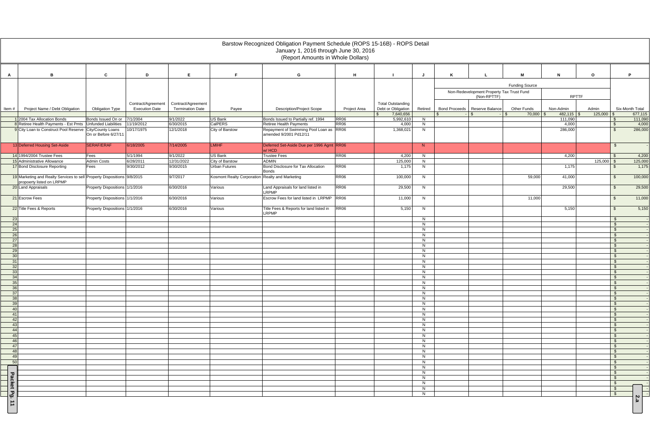|                   |                                                                                                      |                                |                       |                         |                                                 | Barstow Recognized Obligation Payment Schedule (ROPS 15-16B) - ROPS Detail<br>January 1, 2016 through June 30, 2016<br>(Report Amounts in Whole Dollars) |                  |                                 |         |                                                          |                                    |                            |                       |                               |
|-------------------|------------------------------------------------------------------------------------------------------|--------------------------------|-----------------------|-------------------------|-------------------------------------------------|----------------------------------------------------------------------------------------------------------------------------------------------------------|------------------|---------------------------------|---------|----------------------------------------------------------|------------------------------------|----------------------------|-----------------------|-------------------------------|
|                   |                                                                                                      |                                |                       |                         |                                                 |                                                                                                                                                          |                  |                                 |         |                                                          |                                    |                            |                       |                               |
| A                 | B                                                                                                    | C                              | D                     | E                       | F.                                              | G                                                                                                                                                        | H                | - 1                             | J       | K                                                        | M                                  | $\mathsf{N}$               | $\mathbf{o}$          | P                             |
|                   |                                                                                                      |                                |                       |                         |                                                 |                                                                                                                                                          |                  |                                 |         |                                                          |                                    |                            |                       |                               |
|                   |                                                                                                      |                                |                       |                         |                                                 |                                                                                                                                                          |                  |                                 |         |                                                          | <b>Funding Source</b>              |                            |                       |                               |
|                   |                                                                                                      |                                |                       |                         |                                                 |                                                                                                                                                          |                  |                                 |         | Non-Redevelopment Property Tax Trust Fund<br>(Non-RPTTF) |                                    | <b>RPTTF</b>               |                       |                               |
|                   |                                                                                                      |                                | Contract/Agreement    | Contract/Agreement      |                                                 |                                                                                                                                                          |                  | <b>Total Outstanding</b>        |         |                                                          |                                    |                            |                       |                               |
| Item#             | Project Name / Debt Obligation                                                                       | <b>Obligation Type</b>         | <b>Execution Date</b> | <b>Termination Date</b> | Payee                                           | <b>Description/Project Scope</b>                                                                                                                         | Project Area     | Debt or Obligation<br>7,640,656 | Retired | Bond Proceeds   Reserve Balance<br>$\sqrt{S}$            | Other Funds<br>$70,000$ \$<br>l \$ | Non-Admin<br>$482,115$ \\$ | Admin<br>$125,000$ \$ | Six-Month Total<br>677,115    |
|                   | 1 2004 Tax Allocation Bonds                                                                          | Bonds Issued On or             | 7/1/2004              | 9/1/2022                | <b>US Bank</b>                                  | Bonds Issued to Partially ref. 1994                                                                                                                      | RR <sub>06</sub> | 5,992,610                       | N       |                                                          |                                    | 111,090                    |                       | 111,090<br>$\mathbf{\hat{s}}$ |
|                   | 8 Retiree Health Payments - Est Pmts Unfunded Liabilities                                            |                                | 11/19/2012            | 6/30/2015               | CalPERS                                         | Retiree Health Payments                                                                                                                                  | RR <sub>06</sub> | 4,000                           | N       |                                                          |                                    | 4,000                      |                       | 4,000<br>$\sqrt{3}$           |
|                   | 9 City Loan to Construct Pool Reserve City/County Loans                                              | On or Before 6/27/11           | 10/17/1975            | 12/1/2018               | City of Barstow                                 | Repayment of Swimming Pool Loan as RR06<br>amended 9/2001 Pd12/11                                                                                        |                  | 1,368,021                       | N       |                                                          |                                    | 286,000                    |                       | 286,000<br>$\mathbf{\hat{S}}$ |
|                   | 13 Deferred Housing Set-Aside                                                                        | SERAF/ERAF                     | 6/18/2005             | 7/14/2005               | <b>LMIHF</b>                                    | Deferred Set-Aside Due per 1996 Agmt RR06<br>$w$ / HCD                                                                                                   |                  |                                 | N       |                                                          |                                    |                            |                       | $\mathfrak{S}$                |
|                   | 14 1994/2004 Trustee Fees                                                                            | Fees                           | 5/1/1994              | 9/1/2022                | US Bank                                         | <b>Trustee Fees</b>                                                                                                                                      | RR <sub>06</sub> | 4,200                           | N       |                                                          |                                    | 4,200                      |                       | 4,200<br>\$                   |
|                   | 15 Administrative Allowance                                                                          | <b>Admin Costs</b>             | 6/28/2011             | 12/31/2022              | City of Barstow                                 | <b>ADMIN</b>                                                                                                                                             |                  | 125,000                         | N       |                                                          |                                    |                            | $125,000$ \$          | 125,000                       |
|                   | 17 Bond Disclosure Reporting                                                                         | Fees                           | 9/30/2012             | 9/30/2015               | <b>Urban Futures</b>                            | Bond Disclosure for Tax Allocation<br><b>Bonds</b>                                                                                                       | RR <sub>06</sub> | 1,175                           | N       |                                                          |                                    | 1,175                      |                       | 1,175<br>\$                   |
|                   | 19 Marketing and Realty Services to sell Property Dispositions 9/8/2015<br>propoerty listed on LRPMP |                                |                       | 9/7/2017                | Kosmont Realty Corporation Realty and Marketing |                                                                                                                                                          | <b>RR06</b>      | 100,000                         | N.      |                                                          | 59,000                             | 41,000                     |                       | 100,000<br>-\$                |
|                   | 20 Land Appraisals                                                                                   | Property Dispositions 1/1/2016 |                       | 6/30/2016               | Various                                         | Land Appraisals for land listed in<br><b>LRPMP</b>                                                                                                       | RR <sub>06</sub> | 29,500                          | N       |                                                          |                                    | 29,500                     |                       | 29,500<br>$\mathfrak{L}$      |
|                   | 21 Escrow Fees                                                                                       | Property Dispositions 1/1/2016 |                       | 6/30/2016               | Various                                         | Escrow Fees for land listed in LRPMP                                                                                                                     | <b>RR06</b>      | 11,000                          | N       |                                                          | 11,000                             |                            |                       | 11,000<br>\$                  |
|                   | 22 Title Fees & Reports                                                                              | Property Dispositions 1/1/2016 |                       | 6/30/2016               | Various                                         | Title Fees & Reports for land listed in<br><b>LRPMP</b>                                                                                                  | <b>RR06</b>      | 5,150                           | N       |                                                          |                                    | 5,150                      |                       | 5,150<br>- \$                 |
| 23                |                                                                                                      |                                |                       |                         |                                                 |                                                                                                                                                          |                  |                                 | N       |                                                          |                                    |                            |                       | \$                            |
| 24                |                                                                                                      |                                |                       |                         |                                                 |                                                                                                                                                          |                  |                                 | N       |                                                          |                                    |                            |                       | $\mathfrak{S}$                |
| 25                |                                                                                                      |                                |                       |                         |                                                 |                                                                                                                                                          |                  |                                 | N       |                                                          |                                    |                            |                       | $\mathbb{S}$                  |
| 26                |                                                                                                      |                                |                       |                         |                                                 |                                                                                                                                                          |                  |                                 | N       |                                                          |                                    |                            |                       | \$                            |
| 27<br>28          |                                                                                                      |                                |                       |                         |                                                 |                                                                                                                                                          |                  |                                 | N<br>N  |                                                          |                                    |                            |                       | $\sqrt{3}$<br>\$              |
| 29                |                                                                                                      |                                |                       |                         |                                                 |                                                                                                                                                          |                  |                                 | N       |                                                          |                                    |                            |                       | $\sqrt{3}$                    |
| 30 <sup>°</sup>   |                                                                                                      |                                |                       |                         |                                                 |                                                                                                                                                          |                  |                                 | N       |                                                          |                                    |                            |                       | $\sqrt{3}$                    |
| 31                |                                                                                                      |                                |                       |                         |                                                 |                                                                                                                                                          |                  |                                 | N       |                                                          |                                    |                            |                       | $\mathbb{S}$                  |
| 32                |                                                                                                      |                                |                       |                         |                                                 |                                                                                                                                                          |                  |                                 | N       |                                                          |                                    |                            |                       | \$                            |
| 33                |                                                                                                      |                                |                       |                         |                                                 |                                                                                                                                                          |                  |                                 | N       |                                                          |                                    |                            |                       | - \$                          |
| 34                |                                                                                                      |                                |                       |                         |                                                 |                                                                                                                                                          |                  |                                 | N       |                                                          |                                    |                            |                       | - \$                          |
| 35                |                                                                                                      |                                |                       |                         |                                                 |                                                                                                                                                          |                  |                                 | N       |                                                          |                                    |                            |                       | $\sqrt{3}$                    |
| 36<br>37          |                                                                                                      |                                |                       |                         |                                                 |                                                                                                                                                          |                  |                                 | N<br>N  |                                                          |                                    |                            |                       | $\sqrt{3}$<br>$\sqrt{3}$      |
| 38                |                                                                                                      |                                |                       |                         |                                                 |                                                                                                                                                          |                  |                                 | N       |                                                          |                                    |                            |                       | $\sqrt{3}$                    |
| 39                |                                                                                                      |                                |                       |                         |                                                 |                                                                                                                                                          |                  |                                 | N       |                                                          |                                    |                            |                       | $\sqrt{3}$                    |
| 40                |                                                                                                      |                                |                       |                         |                                                 |                                                                                                                                                          |                  |                                 | N       |                                                          |                                    |                            |                       | $\sqrt{3}$                    |
| 41                |                                                                                                      |                                |                       |                         |                                                 |                                                                                                                                                          |                  |                                 | N       |                                                          |                                    |                            |                       | $\sqrt{3}$                    |
| 42                |                                                                                                      |                                |                       |                         |                                                 |                                                                                                                                                          |                  |                                 | N       |                                                          |                                    |                            |                       | $\sqrt{3}$                    |
| 43                |                                                                                                      |                                |                       |                         |                                                 |                                                                                                                                                          |                  |                                 | N       |                                                          |                                    |                            |                       | $\mathbb{S}$                  |
| 44<br>45          |                                                                                                      |                                |                       |                         |                                                 |                                                                                                                                                          |                  |                                 | N<br>N  |                                                          |                                    |                            |                       | $\sqrt{3}$<br>$\sqrt{3}$      |
| 46                |                                                                                                      |                                |                       |                         |                                                 |                                                                                                                                                          |                  |                                 | N       |                                                          |                                    |                            |                       | $\sqrt{3}$                    |
| 47                |                                                                                                      |                                |                       |                         |                                                 |                                                                                                                                                          |                  |                                 | N       |                                                          |                                    |                            |                       | \$                            |
| 48                |                                                                                                      |                                |                       |                         |                                                 |                                                                                                                                                          |                  |                                 | N       |                                                          |                                    |                            |                       | $\mathbf{\hat{s}}$            |
| 49                |                                                                                                      |                                |                       |                         |                                                 |                                                                                                                                                          |                  |                                 | N       |                                                          |                                    |                            |                       | $\sqrt{3}$                    |
| 50                |                                                                                                      |                                |                       |                         |                                                 |                                                                                                                                                          |                  |                                 | N       |                                                          |                                    |                            |                       | $\mathfrak{S}$                |
|                   |                                                                                                      |                                |                       |                         |                                                 |                                                                                                                                                          |                  |                                 | N       |                                                          |                                    |                            |                       | \$                            |
|                   |                                                                                                      |                                |                       |                         |                                                 |                                                                                                                                                          |                  |                                 | N       |                                                          |                                    |                            |                       | $\sqrt{3}$                    |
|                   |                                                                                                      |                                |                       |                         |                                                 |                                                                                                                                                          |                  |                                 | N<br>N  |                                                          |                                    |                            |                       | \$<br>\$                      |
|                   |                                                                                                      |                                |                       |                         |                                                 |                                                                                                                                                          |                  |                                 | N       |                                                          |                                    |                            |                       | $\sqrt{3}$                    |
| Packet Pg.        |                                                                                                      |                                |                       |                         |                                                 |                                                                                                                                                          |                  |                                 | N       |                                                          |                                    |                            |                       | $\sqrt{3}$                    |
|                   |                                                                                                      |                                |                       |                         |                                                 |                                                                                                                                                          |                  |                                 |         |                                                          |                                    |                            |                       | $\sim$<br>ω                   |
| $\vert \pm \vert$ |                                                                                                      |                                |                       |                         |                                                 |                                                                                                                                                          |                  |                                 |         |                                                          |                                    |                            |                       |                               |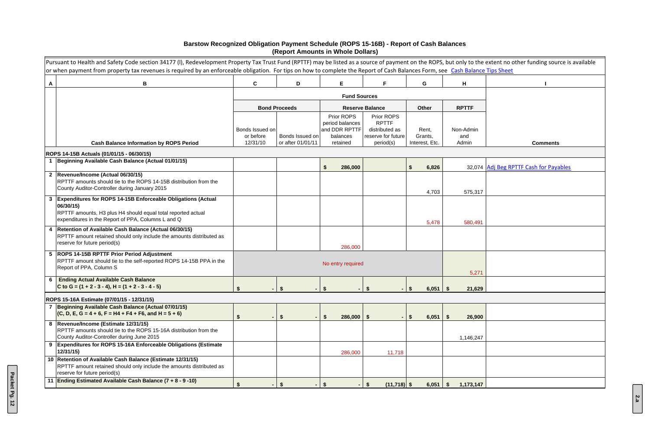|              | Pursuant to Health and Safety Code section 34177 (I), Redevelopment Property Tax Trust Fund (RPTTF) may be listed as a source of payment on the ROPS, but only to the extent no other funding source is available<br>or when payment from property tax revenues is required by an enforceable obligation. For tips on how to complete the Report of Cash Balances Form, see Cash Balance Tips Sheet |                       |                                      |                               |                                                  |                           |                   |                                        |
|--------------|-----------------------------------------------------------------------------------------------------------------------------------------------------------------------------------------------------------------------------------------------------------------------------------------------------------------------------------------------------------------------------------------------------|-----------------------|--------------------------------------|-------------------------------|--------------------------------------------------|---------------------------|-------------------|----------------------------------------|
| A            | B                                                                                                                                                                                                                                                                                                                                                                                                   | $\mathbf{C}$          | D                                    | Е                             |                                                  | G                         | H                 |                                        |
|              |                                                                                                                                                                                                                                                                                                                                                                                                     |                       |                                      |                               |                                                  |                           |                   |                                        |
|              |                                                                                                                                                                                                                                                                                                                                                                                                     |                       | <b>Bond Proceeds</b>                 |                               | <b>Reserve Balance</b>                           | Other                     | <b>RPTTF</b>      |                                        |
|              |                                                                                                                                                                                                                                                                                                                                                                                                     |                       |                                      | Prior ROPS<br>period balances | Prior ROPS<br><b>RPTTF</b>                       |                           |                   |                                        |
|              |                                                                                                                                                                                                                                                                                                                                                                                                     | Bonds Issued on       |                                      | and DDR RPTTF                 | distributed as                                   | Rent,                     | Non-Admin         |                                        |
|              | <b>Cash Balance Information by ROPS Period</b>                                                                                                                                                                                                                                                                                                                                                      | or before<br>12/31/10 | Bonds Issued on<br>or after 01/01/11 | balances<br>retained          | reserve for future<br>period(s)                  | Grants,<br>Interest, Etc. | and<br>Admin      | <b>Comments</b>                        |
|              | ROPS 14-15B Actuals (01/01/15 - 06/30/15)                                                                                                                                                                                                                                                                                                                                                           |                       |                                      |                               |                                                  |                           |                   |                                        |
|              | Beginning Available Cash Balance (Actual 01/01/15)                                                                                                                                                                                                                                                                                                                                                  |                       |                                      | 286,000<br>\$.                |                                                  | 6,826                     |                   | 32,074 Adj Beg RPTTF Cash for Payables |
| $\mathbf{2}$ | Revenue/Income (Actual 06/30/15)<br>RPTTF amounts should tie to the ROPS 14-15B distribution from the<br>County Auditor-Controller during January 2015                                                                                                                                                                                                                                              |                       |                                      |                               |                                                  | 4,703                     | 575,317           |                                        |
| $\mathbf{3}$ | <b>Expenditures for ROPS 14-15B Enforceable Obligations (Actual</b><br>06/30/15)<br>RPTTF amounts, H3 plus H4 should equal total reported actual<br>expenditures in the Report of PPA, Columns L and Q                                                                                                                                                                                              |                       |                                      |                               |                                                  | 5,478                     | 580,491           |                                        |
| 4            | Retention of Available Cash Balance (Actual 06/30/15)<br>RPTTF amount retained should only include the amounts distributed as<br>reserve for future period(s)                                                                                                                                                                                                                                       |                       |                                      | 286,000                       |                                                  |                           |                   |                                        |
|              | 5  ROPS 14-15B RPTTF Prior Period Adjustment<br>RPTTF amount should tie to the self-reported ROPS 14-15B PPA in the<br>Report of PPA, Column S                                                                                                                                                                                                                                                      |                       |                                      | No entry required             |                                                  |                           | 5,271             |                                        |
| 6            | <b>Ending Actual Available Cash Balance</b><br>C to G = $(1 + 2 - 3 - 4)$ , H = $(1 + 2 - 3 - 4 - 5)$                                                                                                                                                                                                                                                                                               | $\blacksquare$        | $\boldsymbol{\hat{z}}$               | - \$                          | $\boldsymbol{\hat{z}}$                           | 6,051<br>∣\$              | 21,629<br>- S     |                                        |
|              | ROPS 15-16A Estimate (07/01/15 - 12/31/15)                                                                                                                                                                                                                                                                                                                                                          |                       |                                      |                               |                                                  |                           |                   |                                        |
|              | 7 Beginning Available Cash Balance (Actual 07/01/15)<br>$(C, D, E, G = 4 + 6, F = H4 + F4 + F6, and H = 5 + 6)$                                                                                                                                                                                                                                                                                     | $\blacksquare$        | $\boldsymbol{\mathsf{s}}$            | $286,000$ \$<br>S.            |                                                  | $\sqrt{3}$<br>6,051       | 26,900<br>- S     |                                        |
|              | 8 Revenue/Income (Estimate 12/31/15)<br>RPTTF amounts should tie to the ROPS 15-16A distribution from the<br>County Auditor-Controller during June 2015                                                                                                                                                                                                                                             |                       |                                      |                               |                                                  |                           | 1,146,247         |                                        |
| 9            | <b>Expenditures for ROPS 15-16A Enforceable Obligations (Estimate</b><br>12/31/15                                                                                                                                                                                                                                                                                                                   |                       |                                      | 286,000                       | 11,718                                           |                           |                   |                                        |
|              | 10 Retention of Available Cash Balance (Estimate 12/31/15)<br>RPTTF amount retained should only include the amounts distributed as<br>reserve for future period(s)                                                                                                                                                                                                                                  |                       |                                      |                               |                                                  |                           |                   |                                        |
| 11           | Ending Estimated Available Cash Balance (7 + 8 - 9 -10)                                                                                                                                                                                                                                                                                                                                             | \$                    | \$                                   | -\$                           | $\boldsymbol{\hat{\mathsf{s}}}$<br>$(11,718)$ \$ | 6,051                     | 1,173,147<br>- \$ |                                        |

## **Barstow Recognized Obligation Payment Schedule (ROPS 15-16B) - Report of Cash Balances (Report Amounts in Whole Dollars)**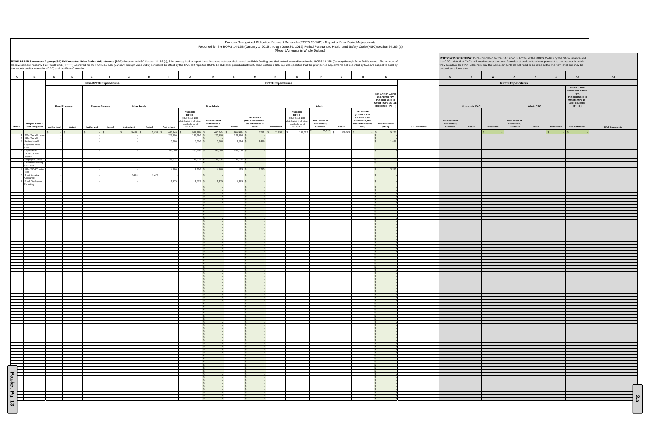|                                    |                                                                                |              |                                |                                                                                                                                                                                                                                                                                                                                                                                                                                                                  |                     |                              |                    |                                                                                             |                                                         |                            |                                                                         |                           | Barstow Recognized Obligation Payment Schedule (ROPS 15-16B) - Report of Prior Period Adjustments<br>(Report Amounts in Whole Dollars) |                                                     |              |                                                                                                    | Reported for the ROPS 14-15B (January 1, 2015 through June 30, 2015) Period Pursuant to Health and Safety Code (HSC) section 34186 (a) |                    |                                            |                                |                   |                                                                                                                                                                                                                                                                                                                                                           |                            |                   |                                                                                                      |                     |
|------------------------------------|--------------------------------------------------------------------------------|--------------|--------------------------------|------------------------------------------------------------------------------------------------------------------------------------------------------------------------------------------------------------------------------------------------------------------------------------------------------------------------------------------------------------------------------------------------------------------------------------------------------------------|---------------------|------------------------------|--------------------|---------------------------------------------------------------------------------------------|---------------------------------------------------------|----------------------------|-------------------------------------------------------------------------|---------------------------|----------------------------------------------------------------------------------------------------------------------------------------|-----------------------------------------------------|--------------|----------------------------------------------------------------------------------------------------|----------------------------------------------------------------------------------------------------------------------------------------|--------------------|--------------------------------------------|--------------------------------|-------------------|-----------------------------------------------------------------------------------------------------------------------------------------------------------------------------------------------------------------------------------------------------------------------------------------------------------------------------------------------------------|----------------------------|-------------------|------------------------------------------------------------------------------------------------------|---------------------|
|                                    | the county auditor-controller (CAC) and the State Controller.                  |              |                                | ROPS 14-15B Successor Agency (SA) Self-reported Prior Period Adjustments (PPA):Pursuant to HSC Section 34186 (a), SAs are required to report the differences between their actual available funding and their actual expenditu<br>Redevelopment Property Tax Trust Fund (RPTTF) approved for the ROPS 15-16B (January through June 2016) period will be offset by the SA's self-reported ROPS 14-15B prior period adjustment. HSC Section 34186 (a) also specifi |                     |                              |                    |                                                                                             |                                                         |                            |                                                                         |                           |                                                                                                                                        |                                                     |              |                                                                                                    |                                                                                                                                        |                    | entered as a lump sum.                     |                                |                   | ROPS 14-15B CAC PPA: To be completed by the CAC upon submittal of the ROPS 15-16B by the SA to Finance and<br>the CAC. Note that CACs will need to enter their own formulas at the line item level pursuant to the manner in which<br>they calculate the PPA. Also note that the Admin amounts do not need to be listed at the line item level and may be |                            |                   |                                                                                                      |                     |
| $\overline{A}$                     | $\overline{B}$                                                                 | $\mathbf{c}$ | D                              |                                                                                                                                                                                                                                                                                                                                                                                                                                                                  | G                   | H                            |                    |                                                                                             |                                                         |                            |                                                                         |                           | $\Omega$                                                                                                                               | $\mathbf{P}$                                        | $\mathbf{Q}$ | R                                                                                                  | s                                                                                                                                      | T                  | $\mathbf{U}$                               |                                | W                 | $\mathbf{x}$                                                                                                                                                                                                                                                                                                                                              | Y                          | Z                 | AA                                                                                                   | AB                  |
|                                    |                                                                                |              |                                | <b>Non-RPTTF Expenditures</b>                                                                                                                                                                                                                                                                                                                                                                                                                                    |                     |                              |                    |                                                                                             |                                                         |                            |                                                                         | <b>RPTTF Expenditures</b> |                                                                                                                                        |                                                     |              |                                                                                                    | Net SA Non-Admin<br>and Admin PPA<br>(Amount Used to<br>Offset ROPS 15-16B<br><b>Requested RPTTF)</b>                                  |                    |                                            |                                |                   | <b>RPTTF Expenditures</b>                                                                                                                                                                                                                                                                                                                                 |                            |                   | Net CAC Non-<br><b>Admin and Admin</b><br>PPA<br>(Amount Used to<br>Offset ROPS 15-<br>16B Requested |                     |
| Item#                              | Project Name /<br><b>Debt Obligation</b>                                       | Authorized   | <b>Bond Proceeds</b><br>Actual | <b>Reserve Balance</b><br>Authorized<br>Actual                                                                                                                                                                                                                                                                                                                                                                                                                   | Authorized          | <b>Other Funds</b><br>Actual | Authorized         | Available<br>RPTTF<br>(ROPS 14-15B<br>distributed + all other<br>available as of<br>01/1/15 | Non-Admin<br>Net Lesser of<br>Authorized /<br>Available | Actual                     | <b>Difference</b><br>(If K is less than L<br>the difference is<br>zero) | Authorized                | Available<br>RPTTF<br>(ROPS 14-15B<br>distributed + all other<br>available as of<br>01/1/15                                            | Admin<br>Net Lesser of<br>Authorized /<br>Available | Actual       | Difference<br>(If total actual<br>exceeds total<br>authorized, the<br>total difference is<br>zero) | <b>Net Difference</b><br>$(M+R)$                                                                                                       | <b>SA Comments</b> | Net Lesser of<br>Authorized /<br>Available | <b>Non-Admin CAC</b><br>Actual | <b>Difference</b> | Net Lesser of<br>Authorized /<br>Available                                                                                                                                                                                                                                                                                                                | <b>Admin CAC</b><br>Actual | <b>Difference</b> | RPTTF)<br><b>Net Difference</b>                                                                      | <b>CAC Comments</b> |
|                                    | 2004 Tax Allocati                                                              |              |                                |                                                                                                                                                                                                                                                                                                                                                                                                                                                                  | 5,478<br>$\sqrt{s}$ | $5,478$ \$                   | 466,240<br>123,290 | 466,240 \$<br>123,290                                                                       | 466,240<br>123,290                                      | 460,969 \$<br>123,290      |                                                                         | 5,271 \$ 119,522          | 119,522                                                                                                                                | 119,522                                             | 119,522      |                                                                                                    | 5,271                                                                                                                                  |                    |                                            |                                |                   |                                                                                                                                                                                                                                                                                                                                                           |                            |                   |                                                                                                      |                     |
|                                    | 1994 Tax Alloc<br>8 Retiree Health<br>Payments - Est<br>Pmts<br>9 City Loan to |              |                                |                                                                                                                                                                                                                                                                                                                                                                                                                                                                  |                     |                              | 5,300<br>286,000   | $5,300$ \$<br>$286,000$ \$                                                                  | 5,300<br>286,000                                        | $3,814$ \$<br>$286,000$ \$ | 1,486                                                                   |                           |                                                                                                                                        |                                                     |              |                                                                                                    | 1.486                                                                                                                                  |                    |                                            |                                |                   |                                                                                                                                                                                                                                                                                                                                                           |                            |                   |                                                                                                      |                     |
|                                    | <b>Construct Pool</b><br>Reserve<br>10 Employee Costs                          |              |                                |                                                                                                                                                                                                                                                                                                                                                                                                                                                                  |                     |                              | 46,275             | $46,275$ \$                                                                                 | 46,275                                                  | 46,275                     |                                                                         |                           |                                                                                                                                        |                                                     |              |                                                                                                    |                                                                                                                                        |                    |                                            |                                |                   |                                                                                                                                                                                                                                                                                                                                                           |                            |                   |                                                                                                      |                     |
|                                    | 13 Deferred Housing<br>Set-Aside<br>14 1994/2004 Truste                        |              |                                |                                                                                                                                                                                                                                                                                                                                                                                                                                                                  |                     |                              | 4,200              | $4,200$ $\sqrt{\ }$                                                                         | 4,200                                                   | 415S                       | 3,785                                                                   |                           |                                                                                                                                        |                                                     |              |                                                                                                    | 3,785                                                                                                                                  |                    |                                            |                                |                   |                                                                                                                                                                                                                                                                                                                                                           |                            |                   |                                                                                                      |                     |
|                                    | Fees<br>15 Administrative<br>Allowance                                         |              |                                |                                                                                                                                                                                                                                                                                                                                                                                                                                                                  | 5,478               | 5,478                        |                    |                                                                                             |                                                         |                            |                                                                         |                           |                                                                                                                                        |                                                     |              |                                                                                                    |                                                                                                                                        |                    |                                            |                                |                   |                                                                                                                                                                                                                                                                                                                                                           |                            |                   |                                                                                                      |                     |
|                                    | 17 Bond Disclosure<br>Reporting                                                |              |                                |                                                                                                                                                                                                                                                                                                                                                                                                                                                                  |                     |                              | 1,175              | $1,175$ \$                                                                                  | 1,175                                                   | $1,175$ \$                 |                                                                         |                           |                                                                                                                                        |                                                     |              |                                                                                                    |                                                                                                                                        |                    |                                            |                                |                   |                                                                                                                                                                                                                                                                                                                                                           |                            |                   |                                                                                                      |                     |
|                                    |                                                                                |              |                                |                                                                                                                                                                                                                                                                                                                                                                                                                                                                  |                     |                              |                    |                                                                                             |                                                         |                            |                                                                         |                           |                                                                                                                                        |                                                     |              |                                                                                                    |                                                                                                                                        |                    |                                            |                                |                   |                                                                                                                                                                                                                                                                                                                                                           |                            |                   |                                                                                                      |                     |
|                                    |                                                                                |              |                                |                                                                                                                                                                                                                                                                                                                                                                                                                                                                  |                     |                              |                    |                                                                                             |                                                         |                            |                                                                         |                           |                                                                                                                                        |                                                     |              |                                                                                                    |                                                                                                                                        |                    |                                            |                                |                   |                                                                                                                                                                                                                                                                                                                                                           |                            |                   |                                                                                                      |                     |
|                                    |                                                                                |              |                                |                                                                                                                                                                                                                                                                                                                                                                                                                                                                  |                     |                              |                    |                                                                                             |                                                         |                            |                                                                         |                           |                                                                                                                                        |                                                     |              |                                                                                                    |                                                                                                                                        |                    |                                            |                                |                   |                                                                                                                                                                                                                                                                                                                                                           |                            |                   |                                                                                                      |                     |
|                                    |                                                                                |              |                                |                                                                                                                                                                                                                                                                                                                                                                                                                                                                  |                     |                              |                    |                                                                                             |                                                         |                            |                                                                         |                           |                                                                                                                                        |                                                     |              |                                                                                                    |                                                                                                                                        |                    |                                            |                                |                   |                                                                                                                                                                                                                                                                                                                                                           |                            |                   |                                                                                                      |                     |
|                                    |                                                                                |              |                                |                                                                                                                                                                                                                                                                                                                                                                                                                                                                  |                     |                              |                    |                                                                                             |                                                         |                            |                                                                         |                           |                                                                                                                                        |                                                     |              |                                                                                                    |                                                                                                                                        |                    |                                            |                                |                   |                                                                                                                                                                                                                                                                                                                                                           |                            |                   |                                                                                                      |                     |
|                                    |                                                                                |              |                                |                                                                                                                                                                                                                                                                                                                                                                                                                                                                  |                     |                              |                    |                                                                                             |                                                         |                            |                                                                         |                           |                                                                                                                                        |                                                     |              |                                                                                                    |                                                                                                                                        |                    |                                            |                                |                   |                                                                                                                                                                                                                                                                                                                                                           |                            |                   |                                                                                                      |                     |
|                                    |                                                                                |              |                                |                                                                                                                                                                                                                                                                                                                                                                                                                                                                  |                     |                              |                    |                                                                                             |                                                         |                            |                                                                         |                           |                                                                                                                                        |                                                     |              |                                                                                                    |                                                                                                                                        |                    |                                            |                                |                   |                                                                                                                                                                                                                                                                                                                                                           |                            |                   |                                                                                                      |                     |
|                                    |                                                                                |              |                                |                                                                                                                                                                                                                                                                                                                                                                                                                                                                  |                     |                              |                    |                                                                                             |                                                         |                            |                                                                         |                           |                                                                                                                                        |                                                     |              |                                                                                                    |                                                                                                                                        |                    |                                            |                                |                   |                                                                                                                                                                                                                                                                                                                                                           |                            |                   |                                                                                                      |                     |
|                                    |                                                                                |              |                                |                                                                                                                                                                                                                                                                                                                                                                                                                                                                  |                     |                              |                    |                                                                                             |                                                         |                            |                                                                         |                           |                                                                                                                                        |                                                     |              |                                                                                                    |                                                                                                                                        |                    |                                            |                                |                   |                                                                                                                                                                                                                                                                                                                                                           |                            |                   |                                                                                                      |                     |
|                                    |                                                                                |              |                                |                                                                                                                                                                                                                                                                                                                                                                                                                                                                  |                     |                              |                    |                                                                                             |                                                         |                            |                                                                         |                           |                                                                                                                                        |                                                     |              |                                                                                                    |                                                                                                                                        |                    |                                            |                                |                   |                                                                                                                                                                                                                                                                                                                                                           |                            |                   |                                                                                                      |                     |
|                                    |                                                                                |              |                                |                                                                                                                                                                                                                                                                                                                                                                                                                                                                  |                     |                              |                    |                                                                                             |                                                         |                            |                                                                         |                           |                                                                                                                                        |                                                     |              |                                                                                                    |                                                                                                                                        |                    |                                            |                                |                   |                                                                                                                                                                                                                                                                                                                                                           |                            |                   |                                                                                                      |                     |
|                                    |                                                                                |              |                                |                                                                                                                                                                                                                                                                                                                                                                                                                                                                  |                     |                              |                    |                                                                                             |                                                         |                            |                                                                         |                           |                                                                                                                                        |                                                     |              |                                                                                                    |                                                                                                                                        |                    |                                            |                                |                   |                                                                                                                                                                                                                                                                                                                                                           |                            |                   |                                                                                                      |                     |
|                                    |                                                                                |              |                                |                                                                                                                                                                                                                                                                                                                                                                                                                                                                  |                     |                              |                    |                                                                                             |                                                         |                            |                                                                         |                           |                                                                                                                                        |                                                     |              |                                                                                                    |                                                                                                                                        |                    |                                            |                                |                   |                                                                                                                                                                                                                                                                                                                                                           |                            |                   |                                                                                                      |                     |
|                                    |                                                                                |              |                                |                                                                                                                                                                                                                                                                                                                                                                                                                                                                  |                     |                              |                    |                                                                                             |                                                         |                            |                                                                         |                           |                                                                                                                                        |                                                     |              |                                                                                                    |                                                                                                                                        |                    |                                            |                                |                   |                                                                                                                                                                                                                                                                                                                                                           |                            |                   |                                                                                                      |                     |
|                                    |                                                                                |              |                                |                                                                                                                                                                                                                                                                                                                                                                                                                                                                  |                     |                              |                    |                                                                                             |                                                         |                            |                                                                         |                           |                                                                                                                                        |                                                     |              |                                                                                                    |                                                                                                                                        |                    |                                            |                                |                   |                                                                                                                                                                                                                                                                                                                                                           |                            |                   |                                                                                                      |                     |
|                                    |                                                                                |              |                                |                                                                                                                                                                                                                                                                                                                                                                                                                                                                  |                     |                              |                    |                                                                                             |                                                         |                            |                                                                         |                           |                                                                                                                                        |                                                     |              |                                                                                                    |                                                                                                                                        |                    |                                            |                                |                   |                                                                                                                                                                                                                                                                                                                                                           |                            |                   |                                                                                                      |                     |
|                                    |                                                                                |              |                                |                                                                                                                                                                                                                                                                                                                                                                                                                                                                  |                     |                              |                    |                                                                                             |                                                         |                            |                                                                         |                           |                                                                                                                                        |                                                     |              |                                                                                                    |                                                                                                                                        |                    |                                            |                                |                   |                                                                                                                                                                                                                                                                                                                                                           |                            |                   |                                                                                                      |                     |
|                                    |                                                                                |              |                                |                                                                                                                                                                                                                                                                                                                                                                                                                                                                  |                     |                              |                    |                                                                                             |                                                         |                            |                                                                         |                           |                                                                                                                                        |                                                     |              |                                                                                                    |                                                                                                                                        |                    |                                            |                                |                   |                                                                                                                                                                                                                                                                                                                                                           |                            |                   |                                                                                                      |                     |
|                                    |                                                                                |              |                                |                                                                                                                                                                                                                                                                                                                                                                                                                                                                  |                     |                              |                    |                                                                                             |                                                         |                            |                                                                         |                           |                                                                                                                                        |                                                     |              |                                                                                                    |                                                                                                                                        |                    |                                            |                                |                   |                                                                                                                                                                                                                                                                                                                                                           |                            |                   |                                                                                                      |                     |
|                                    |                                                                                |              |                                |                                                                                                                                                                                                                                                                                                                                                                                                                                                                  |                     |                              |                    |                                                                                             |                                                         |                            |                                                                         |                           |                                                                                                                                        |                                                     |              |                                                                                                    |                                                                                                                                        |                    |                                            |                                |                   |                                                                                                                                                                                                                                                                                                                                                           |                            |                   |                                                                                                      |                     |
|                                    |                                                                                |              |                                |                                                                                                                                                                                                                                                                                                                                                                                                                                                                  |                     |                              |                    |                                                                                             |                                                         |                            |                                                                         |                           |                                                                                                                                        |                                                     |              |                                                                                                    |                                                                                                                                        |                    |                                            |                                |                   |                                                                                                                                                                                                                                                                                                                                                           |                            |                   |                                                                                                      |                     |
|                                    |                                                                                |              |                                |                                                                                                                                                                                                                                                                                                                                                                                                                                                                  |                     |                              |                    |                                                                                             |                                                         |                            |                                                                         |                           |                                                                                                                                        |                                                     |              |                                                                                                    |                                                                                                                                        |                    |                                            |                                |                   |                                                                                                                                                                                                                                                                                                                                                           |                            |                   |                                                                                                      |                     |
|                                    |                                                                                |              |                                |                                                                                                                                                                                                                                                                                                                                                                                                                                                                  |                     |                              |                    |                                                                                             |                                                         |                            |                                                                         |                           |                                                                                                                                        |                                                     |              |                                                                                                    |                                                                                                                                        |                    |                                            |                                |                   |                                                                                                                                                                                                                                                                                                                                                           |                            |                   |                                                                                                      |                     |
|                                    |                                                                                |              |                                |                                                                                                                                                                                                                                                                                                                                                                                                                                                                  |                     |                              |                    |                                                                                             |                                                         |                            |                                                                         |                           |                                                                                                                                        |                                                     |              |                                                                                                    |                                                                                                                                        |                    |                                            |                                |                   |                                                                                                                                                                                                                                                                                                                                                           |                            |                   |                                                                                                      |                     |
| $\frac{1}{\sqrt{2}}$ Packet Pg. 13 |                                                                                |              |                                |                                                                                                                                                                                                                                                                                                                                                                                                                                                                  |                     |                              |                    |                                                                                             |                                                         |                            |                                                                         |                           |                                                                                                                                        |                                                     |              |                                                                                                    |                                                                                                                                        |                    |                                            |                                |                   |                                                                                                                                                                                                                                                                                                                                                           |                            |                   |                                                                                                      | $\frac{2}{a}$       |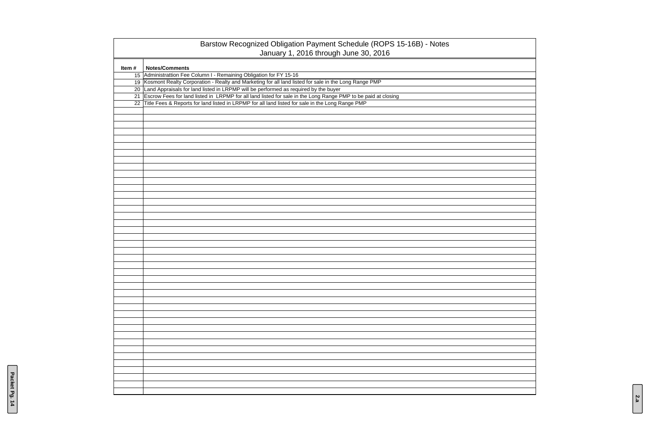|       | Barstow Recognized Obligation Payment Schedule (ROPS 15-16B) - Notes<br>January 1, 2016 through June 30, 2016    |
|-------|------------------------------------------------------------------------------------------------------------------|
| Item# | <b>Notes/Comments</b>                                                                                            |
|       | 15 Administrattion Fee Column I - Remaining Obligation for FY 15-16                                              |
|       | 19 Kosmont Realty Corporation - Realty and Marketing for all land listed for sale in the Long Range PMP          |
|       | 20 Land Appraisals for land listed in LRPMP will be performed as required by the buyer                           |
|       | 21 Escrow Fees for land listed in LRPMP for all land listed for sale in the Long Range PMP to be paid at closing |
|       | 22 Title Fees & Reports for land listed in LRPMP for all land listed for sale in the Long Range PMP              |
|       |                                                                                                                  |
|       |                                                                                                                  |
|       |                                                                                                                  |
|       |                                                                                                                  |
|       |                                                                                                                  |
|       |                                                                                                                  |
|       |                                                                                                                  |
|       |                                                                                                                  |
|       |                                                                                                                  |
|       |                                                                                                                  |
|       |                                                                                                                  |
|       |                                                                                                                  |
|       |                                                                                                                  |
|       |                                                                                                                  |
|       |                                                                                                                  |
|       |                                                                                                                  |
|       |                                                                                                                  |
|       |                                                                                                                  |
|       |                                                                                                                  |
|       |                                                                                                                  |
|       |                                                                                                                  |
|       |                                                                                                                  |
|       |                                                                                                                  |
|       |                                                                                                                  |
|       |                                                                                                                  |
|       |                                                                                                                  |
|       |                                                                                                                  |
|       |                                                                                                                  |
|       |                                                                                                                  |
|       |                                                                                                                  |
|       |                                                                                                                  |
|       |                                                                                                                  |
|       |                                                                                                                  |
|       |                                                                                                                  |
|       |                                                                                                                  |
|       |                                                                                                                  |
|       |                                                                                                                  |
|       |                                                                                                                  |
|       |                                                                                                                  |
|       |                                                                                                                  |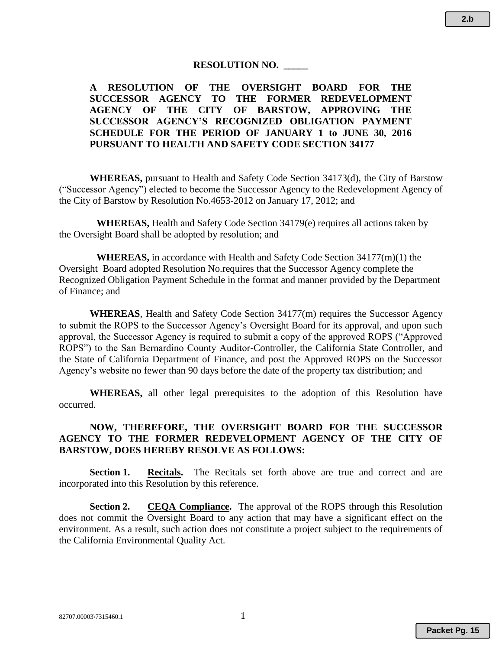#### **RESOLUTION NO. \_\_\_\_\_**

## **A RESOLUTION OF THE OVERSIGHT BOARD FOR THE SUCCESSOR AGENCY TO THE FORMER REDEVELOPMENT AGENCY OF THE CITY OF BARSTOW, APPROVING THE SUCCESSOR AGENCY'S RECOGNIZED OBLIGATION PAYMENT SCHEDULE FOR THE PERIOD OF JANUARY 1 to JUNE 30, 2016 PURSUANT TO HEALTH AND SAFETY CODE SECTION 34177**

**WHEREAS,** pursuant to Health and Safety Code Section 34173(d), the City of Barstow ("Successor Agency") elected to become the Successor Agency to the Redevelopment Agency of the City of Barstow by Resolution No.4653-2012 on January 17, 2012; and

**WHEREAS,** Health and Safety Code Section 34179(e) requires all actions taken by the Oversight Board shall be adopted by resolution; and

**WHEREAS,** in accordance with Health and Safety Code Section 34177(m)(1) the Oversight Board adopted Resolution No.requires that the Successor Agency complete the Recognized Obligation Payment Schedule in the format and manner provided by the Department of Finance; and

**WHEREAS**, Health and Safety Code Section 34177(m) requires the Successor Agency to submit the ROPS to the Successor Agency's Oversight Board for its approval, and upon such approval, the Successor Agency is required to submit a copy of the approved ROPS ("Approved ROPS") to the San Bernardino County Auditor-Controller, the California State Controller, and the State of California Department of Finance, and post the Approved ROPS on the Successor Agency's website no fewer than 90 days before the date of the property tax distribution; and

**WHEREAS,** all other legal prerequisites to the adoption of this Resolution have occurred.

## **NOW, THEREFORE, THE OVERSIGHT BOARD FOR THE SUCCESSOR AGENCY TO THE FORMER REDEVELOPMENT AGENCY OF THE CITY OF BARSTOW, DOES HEREBY RESOLVE AS FOLLOWS:**

**Section 1. Recitals.** The Recitals set forth above are true and correct and are incorporated into this Resolution by this reference.

**Section 2. CEQA Compliance.** The approval of the ROPS through this Resolution does not commit the Oversight Board to any action that may have a significant effect on the environment. As a result, such action does not constitute a project subject to the requirements of the California Environmental Quality Act.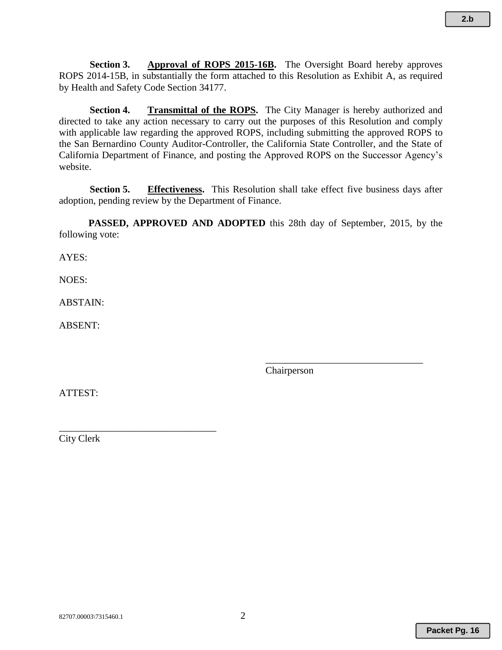**Section 3. Approval of ROPS 2015-16B.** The Oversight Board hereby approves ROPS 2014-15B, in substantially the form attached to this Resolution as Exhibit A, as required by Health and Safety Code Section 34177.

**Section 4. Transmittal of the ROPS.** The City Manager is hereby authorized and directed to take any action necessary to carry out the purposes of this Resolution and comply with applicable law regarding the approved ROPS, including submitting the approved ROPS to the San Bernardino County Auditor-Controller, the California State Controller, and the State of California Department of Finance, and posting the Approved ROPS on the Successor Agency's website.

**Section 5. Effectiveness.** This Resolution shall take effect five business days after adoption, pending review by the Department of Finance.

**PASSED, APPROVED AND ADOPTED** this 28th day of September, 2015, by the following vote:

AYES:

NOES:

ABSTAIN:

ABSENT:

Chairperson

\_\_\_\_\_\_\_\_\_\_\_\_\_\_\_\_\_\_\_\_\_\_\_\_\_\_\_\_\_\_\_\_

ATTEST:

City Clerk

\_\_\_\_\_\_\_\_\_\_\_\_\_\_\_\_\_\_\_\_\_\_\_\_\_\_\_\_\_\_\_\_